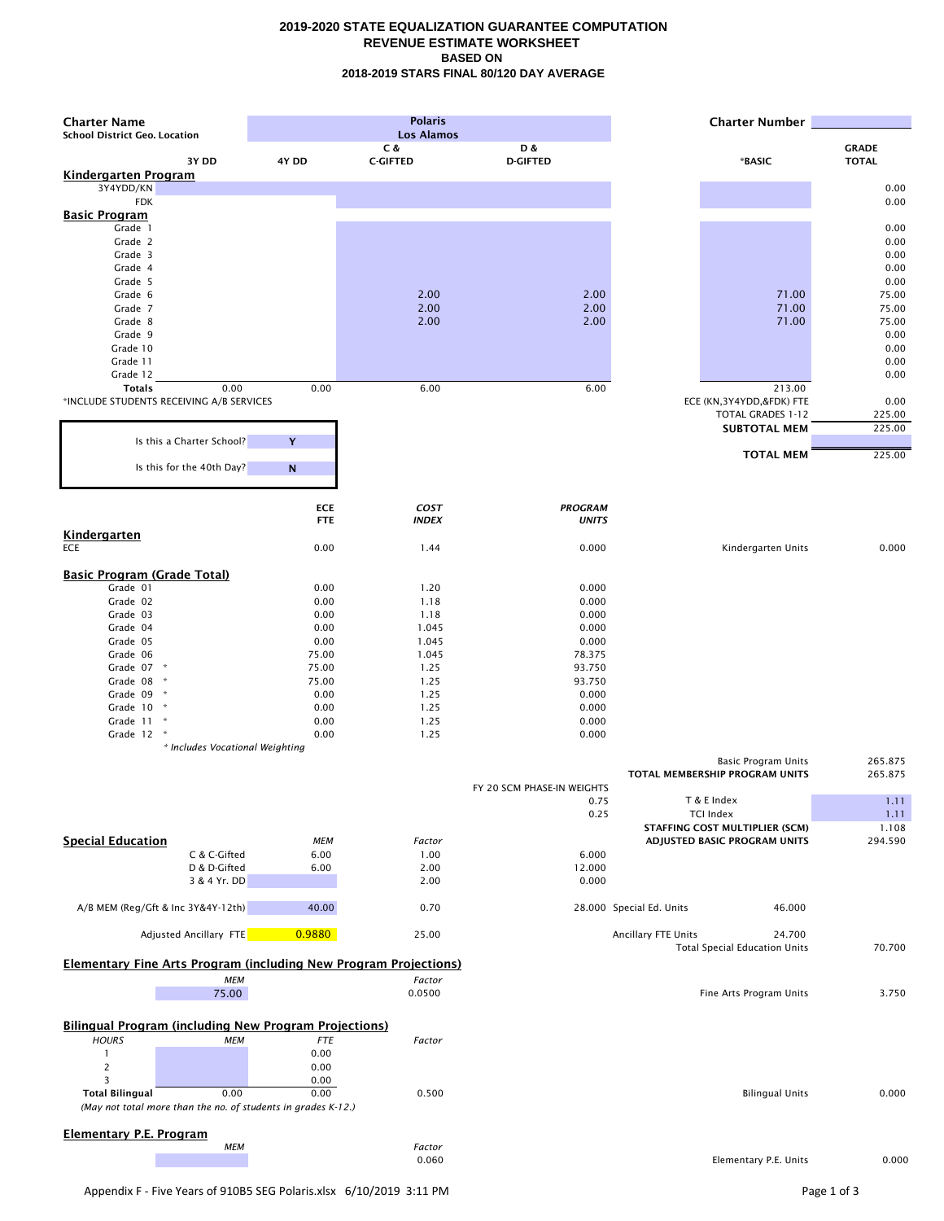# **2019-2020 STATE EQUALIZATION GUARANTEE COMPUTATION REVENUE ESTIMATE WORKSHEET BASED ON 2018-2019 STARS FINAL 80/120 DAY AVERAGE**

| <b>Charter Name</b><br><b>School District Geo. Location</b>                           |                          | <b>Polaris</b><br><b>Los Alamos</b>              |                                                              | <b>Charter Number</b>                                          |                              |  |
|---------------------------------------------------------------------------------------|--------------------------|--------------------------------------------------|--------------------------------------------------------------|----------------------------------------------------------------|------------------------------|--|
|                                                                                       |                          | C &<br>D &<br><b>C-GIFTED</b><br><b>D-GIFTED</b> |                                                              | *BASIC                                                         | <b>GRADE</b><br><b>TOTAL</b> |  |
| 3Y DD<br>Kindergarten Program                                                         | 4Y DD                    |                                                  |                                                              |                                                                |                              |  |
| 3Y4YDD/KN                                                                             |                          |                                                  |                                                              |                                                                | 0.00                         |  |
| <b>FDK</b>                                                                            |                          |                                                  |                                                              |                                                                | 0.00                         |  |
| <b>Basic Program</b><br>Grade 1                                                       |                          |                                                  |                                                              |                                                                | 0.00                         |  |
| Grade 2                                                                               |                          |                                                  |                                                              |                                                                | 0.00                         |  |
| Grade 3                                                                               |                          |                                                  |                                                              |                                                                | 0.00                         |  |
| Grade 4<br>Grade 5                                                                    |                          |                                                  |                                                              |                                                                | 0.00<br>0.00                 |  |
| Grade 6                                                                               |                          | 2.00                                             | 2.00                                                         | 71.00                                                          | 75.00                        |  |
| Grade 7                                                                               |                          | 2.00                                             | 2.00                                                         | 71.00                                                          | 75.00                        |  |
| Grade 8                                                                               |                          | 2.00                                             | 2.00                                                         | 71.00                                                          | 75.00                        |  |
| Grade 9<br>Grade 10                                                                   |                          |                                                  |                                                              |                                                                | 0.00<br>0.00                 |  |
| Grade 11                                                                              |                          |                                                  |                                                              |                                                                | 0.00                         |  |
| Grade 12                                                                              |                          |                                                  |                                                              |                                                                | 0.00                         |  |
| <b>Totals</b><br>0.00                                                                 | 0.00                     | 6.00                                             | 6.00                                                         | 213.00                                                         |                              |  |
| *INCLUDE STUDENTS RECEIVING A/B SERVICES                                              |                          |                                                  |                                                              | ECE (KN, 3Y4YDD, & FDK) FTE<br><b>TOTAL GRADES 1-12</b>        | 0.00<br>225.00               |  |
|                                                                                       |                          |                                                  |                                                              | <b>SUBTOTAL MEM</b>                                            | 225.00                       |  |
| Is this a Charter School?                                                             | Y                        |                                                  |                                                              |                                                                |                              |  |
| Is this for the 40th Day?                                                             | ${\bf N}$                |                                                  |                                                              | <b>TOTAL MEM</b>                                               | 225.00                       |  |
|                                                                                       |                          |                                                  |                                                              |                                                                |                              |  |
|                                                                                       |                          |                                                  |                                                              |                                                                |                              |  |
|                                                                                       | <b>ECE</b><br><b>FTE</b> | <b>COST</b><br><b>INDEX</b>                      | <b>PROGRAM</b><br><b>UNITS</b>                               |                                                                |                              |  |
| <b>Kindergarten</b>                                                                   |                          |                                                  |                                                              |                                                                |                              |  |
| ECE                                                                                   | 0.00                     | 1.44                                             | 0.000                                                        | Kindergarten Units                                             | 0.000                        |  |
|                                                                                       |                          |                                                  |                                                              |                                                                |                              |  |
| <b>Basic Program (Grade Total)</b><br>Grade 01                                        | 0.00                     | 1.20                                             | 0.000                                                        |                                                                |                              |  |
| Grade 02                                                                              | 0.00                     | 1.18                                             | 0.000                                                        |                                                                |                              |  |
| Grade 03                                                                              | 0.00                     | 1.18                                             | 0.000                                                        |                                                                |                              |  |
| Grade 04                                                                              | 0.00                     | 1.045                                            | 0.000                                                        |                                                                |                              |  |
| Grade 05<br>Grade 06                                                                  | 0.00<br>75.00            | 1.045<br>1.045                                   | 0.000<br>78.375                                              |                                                                |                              |  |
| Grade 07 *                                                                            | 75.00                    | 1.25                                             | 93.750                                                       |                                                                |                              |  |
| Grade 08<br>$\boldsymbol{\dot{\mathrm{x}}}$                                           | 75.00                    | 1.25                                             | 93.750                                                       |                                                                |                              |  |
| Grade 09<br>$\star$                                                                   | 0.00                     | 1.25                                             | 0.000                                                        |                                                                |                              |  |
| Grade 10<br>$\boldsymbol{\star}$<br>Grade 11<br>$\star$                               | 0.00<br>0.00             | 1.25<br>1.25                                     | 0.000<br>0.000                                               |                                                                |                              |  |
| Grade 12<br>$\boldsymbol{\star}$                                                      | 0.00                     | 1.25                                             | 0.000                                                        |                                                                |                              |  |
| * Includes Vocational Weighting                                                       |                          |                                                  |                                                              |                                                                |                              |  |
|                                                                                       |                          |                                                  | <b>Basic Program Units</b><br>TOTAL MEMBERSHIP PROGRAM UNITS |                                                                | 265.875<br>265.875           |  |
|                                                                                       |                          |                                                  | FY 20 SCM PHASE-IN WEIGHTS                                   |                                                                |                              |  |
|                                                                                       |                          |                                                  | 0.75                                                         | T & E Index                                                    | 1.11                         |  |
|                                                                                       |                          |                                                  | 0.25                                                         | <b>TCI Index</b>                                               | 1.11                         |  |
| <b>Special Education</b>                                                              | <b>MEM</b>               | Factor                                           |                                                              | STAFFING COST MULTIPLIER (SCM)<br>ADJUSTED BASIC PROGRAM UNITS | 1.108<br>294.590             |  |
| C & C-Gifted                                                                          | 6.00                     | 1.00                                             | 6.000                                                        |                                                                |                              |  |
| D & D-Gifted                                                                          | 6.00                     | 2.00                                             | 12.000                                                       |                                                                |                              |  |
| 3 & 4 Yr. DD                                                                          |                          | 2.00                                             | 0.000                                                        |                                                                |                              |  |
| A/B MEM (Reg/Gft & Inc 3Y&4Y-12th)                                                    | 40.00                    | 0.70                                             |                                                              | 28.000 Special Ed. Units<br>46.000                             |                              |  |
| Adjusted Ancillary FTE                                                                | 0.9880                   | 25.00                                            |                                                              | Ancillary FTE Units<br>24.700                                  |                              |  |
|                                                                                       |                          |                                                  |                                                              | <b>Total Special Education Units</b>                           | 70.700                       |  |
| <b>Elementary Fine Arts Program (including New Program Projections)</b><br><b>MEM</b> |                          | Factor                                           |                                                              |                                                                |                              |  |
| 75.00                                                                                 |                          | 0.0500                                           |                                                              | Fine Arts Program Units                                        | 3.750                        |  |
|                                                                                       |                          |                                                  |                                                              |                                                                |                              |  |
| <b>Bilingual Program (including New Program Projections)</b>                          |                          |                                                  |                                                              |                                                                |                              |  |
| <b>HOURS</b><br><b>MEM</b>                                                            | <b>FTE</b>               | Factor                                           |                                                              |                                                                |                              |  |
| J.<br>$\overline{c}$                                                                  | 0.00<br>0.00             |                                                  |                                                              |                                                                |                              |  |
| 3                                                                                     | 0.00                     |                                                  |                                                              |                                                                |                              |  |
| 0.00<br><b>Total Bilingual</b>                                                        | 0.00                     | 0.500                                            |                                                              | <b>Bilingual Units</b>                                         | 0.000                        |  |
| (May not total more than the no. of students in grades K-12.)                         |                          |                                                  |                                                              |                                                                |                              |  |
| <b>Elementary P.E. Program</b>                                                        |                          |                                                  |                                                              |                                                                |                              |  |
| МЕМ                                                                                   |                          | Factor                                           |                                                              |                                                                |                              |  |
|                                                                                       |                          | 0.060                                            |                                                              | Elementary P.E. Units                                          | 0.000                        |  |
|                                                                                       |                          |                                                  |                                                              |                                                                |                              |  |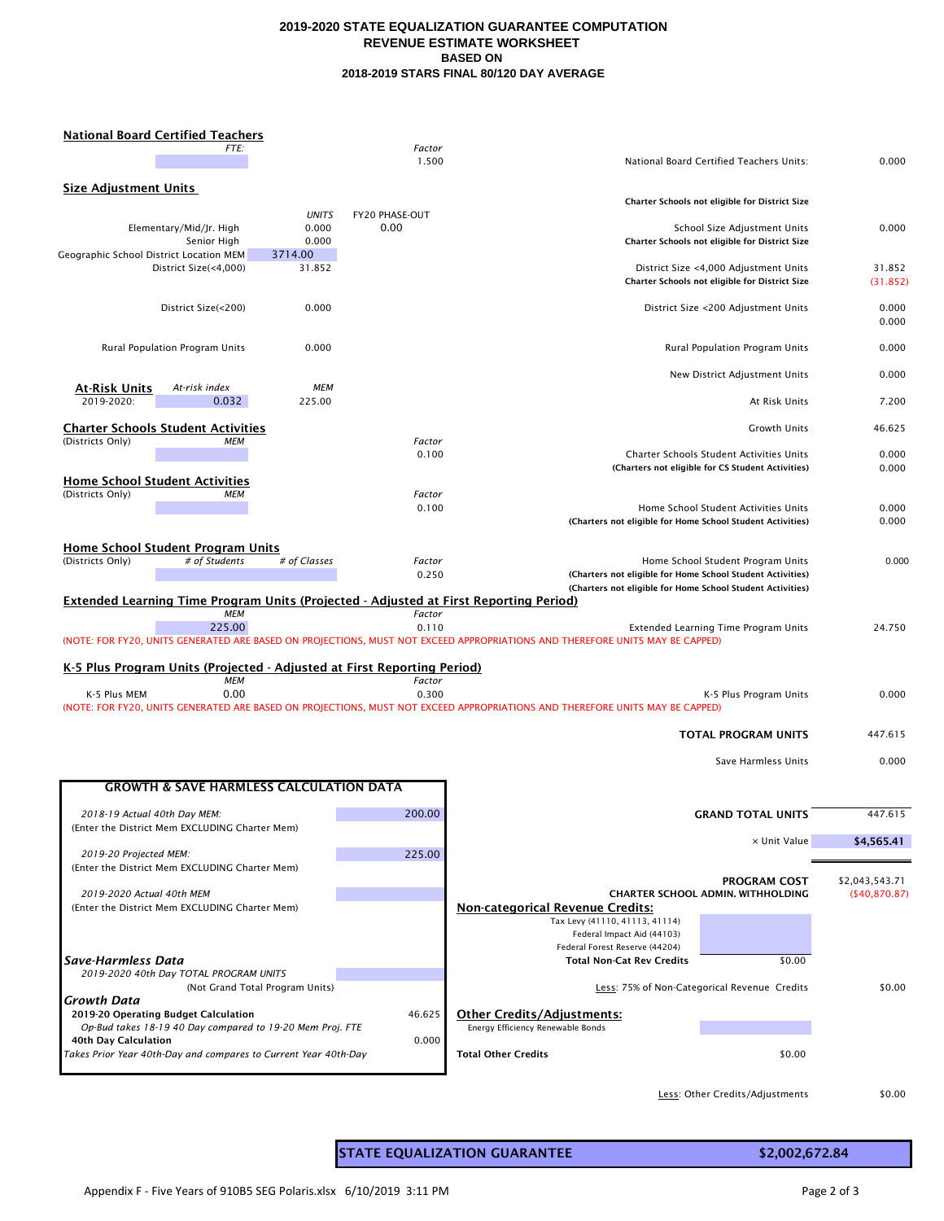### **2019-2020 STATE EQUALIZATION GUARANTEE COMPUTATION REVENUE ESTIMATE WORKSHEET BASED ON 2018-2019 STARS FINAL 80/120 DAY AVERAGE**

| <b>National Board Certified Teachers</b>                                                                                |                                |                                                                           |                                                                                                                              |                                                                                                      |                |
|-------------------------------------------------------------------------------------------------------------------------|--------------------------------|---------------------------------------------------------------------------|------------------------------------------------------------------------------------------------------------------------------|------------------------------------------------------------------------------------------------------|----------------|
| <i>FTE:</i>                                                                                                             |                                | Factor<br>1.500                                                           |                                                                                                                              | National Board Certified Teachers Units:                                                             | 0.000          |
|                                                                                                                         |                                |                                                                           |                                                                                                                              |                                                                                                      |                |
| <b>Size Adjustment Units</b>                                                                                            |                                |                                                                           |                                                                                                                              | Charter Schools not eligible for District Size                                                       |                |
| Elementary/Mid/Jr. High<br>Senior High                                                                                  | <b>UNITS</b><br>0.000<br>0.000 | FY20 PHASE-OUT<br>0.00                                                    |                                                                                                                              | School Size Adjustment Units<br>Charter Schools not eligible for District Size                       | 0.000          |
| 3714.00<br>Geographic School District Location MEM<br>31.852<br>District Size(<4,000)                                   |                                |                                                                           | District Size <4,000 Adjustment Units<br>Charter Schools not eligible for District Size                                      | 31.852<br>(31.852)                                                                                   |                |
| District Size(<200)                                                                                                     | 0.000                          |                                                                           |                                                                                                                              | District Size <200 Adjustment Units                                                                  | 0.000<br>0.000 |
| Rural Population Program Units                                                                                          | 0.000                          |                                                                           |                                                                                                                              | Rural Population Program Units                                                                       | 0.000          |
|                                                                                                                         |                                |                                                                           |                                                                                                                              | New District Adjustment Units                                                                        | 0.000          |
| <b>At-Risk Units</b><br>At-risk index<br>0.032<br>2019-2020:                                                            | <b>MEM</b><br>225.00           |                                                                           |                                                                                                                              | At Risk Units                                                                                        | 7.200          |
| <b>Charter Schools Student Activities</b><br>(Districts Only)<br><b>MEM</b>                                             |                                | Factor                                                                    |                                                                                                                              | <b>Growth Units</b>                                                                                  | 46.625         |
|                                                                                                                         |                                | 0.100                                                                     |                                                                                                                              | <b>Charter Schools Student Activities Units</b><br>(Charters not eligible for CS Student Activities) | 0.000<br>0.000 |
| <b>Home School Student Activities</b><br>(Districts Only)<br>MEM                                                        |                                | Factor                                                                    |                                                                                                                              |                                                                                                      |                |
|                                                                                                                         |                                | 0.100                                                                     | (Charters not eligible for Home School Student Activities)                                                                   | Home School Student Activities Units                                                                 | 0.000<br>0.000 |
| <b>Home School Student Program Units</b><br>(Districts Only)<br># of Students                                           | # of Classes                   | Factor<br>0.250                                                           | (Charters not eligible for Home School Student Activities)                                                                   | Home School Student Program Units                                                                    | 0.000          |
| <b>Extended Learning Time Program Units (Projected - Adjusted at First Reporting Period)</b>                            |                                |                                                                           | (Charters not eligible for Home School Student Activities)                                                                   |                                                                                                      |                |
| <b>MEM</b><br>225.00                                                                                                    |                                | Factor<br>0.110                                                           | (NOTE: FOR FY20, UNITS GENERATED ARE BASED ON PROJECTIONS, MUST NOT EXCEED APPROPRIATIONS AND THEREFORE UNITS MAY BE CAPPED) | Extended Learning Time Program Units                                                                 | 24.750         |
| K-5 Plus Program Units (Projected - Adjusted at First Reporting Period)                                                 |                                |                                                                           |                                                                                                                              |                                                                                                      |                |
| МЕМ<br>0.00<br>K-5 Plus MEM                                                                                             |                                | Factor<br>0.300                                                           | (NOTE: FOR FY20, UNITS GENERATED ARE BASED ON PROJECTIONS, MUST NOT EXCEED APPROPRIATIONS AND THEREFORE UNITS MAY BE CAPPED) | K-5 Plus Program Units                                                                               | 0.000          |
|                                                                                                                         |                                |                                                                           |                                                                                                                              | <b>TOTAL PROGRAM UNITS</b>                                                                           | 447.615        |
|                                                                                                                         |                                |                                                                           |                                                                                                                              | Save Harmless Units                                                                                  | 0.000          |
| <b>GROWTH &amp; SAVE HARMLESS CALCULATION DATA</b>                                                                      |                                |                                                                           |                                                                                                                              |                                                                                                      |                |
|                                                                                                                         |                                |                                                                           |                                                                                                                              |                                                                                                      |                |
| 2018-19 Actual 40th Day MEM:<br>(Enter the District Mem EXCLUDING Charter Mem)                                          |                                | 200.00                                                                    |                                                                                                                              | <b>GRAND TOTAL UNITS</b>                                                                             | 447.615        |
| 2019-20 Projected MEM:                                                                                                  |                                | 225.00                                                                    |                                                                                                                              | x Unit Value                                                                                         | \$4,565.41     |
| (Enter the District Mem EXCLUDING Charter Mem)                                                                          |                                |                                                                           |                                                                                                                              | <b>PROGRAM COST</b>                                                                                  | \$2,043,543.71 |
| 2019-2020 Actual 40th MEM<br>(Enter the District Mem EXCLUDING Charter Mem)                                             |                                | <b>Non-categorical Revenue Credits:</b><br>Tax Levy (41110, 41113, 41114) | <b>CHARTER SCHOOL ADMIN. WITHHOLDING</b>                                                                                     | (\$40,870.87)                                                                                        |                |
|                                                                                                                         |                                |                                                                           | Federal Impact Aid (44103)<br>Federal Forest Reserve (44204)                                                                 |                                                                                                      |                |
| <b>Save-Harmless Data</b><br>2019-2020 40th Day TOTAL PROGRAM UNITS<br>(Not Grand Total Program Units)                  |                                |                                                                           | <b>Total Non-Cat Rev Credits</b>                                                                                             | \$0.00<br>Less: 75% of Non-Categorical Revenue Credits                                               | \$0.00         |
| <b>Growth Data</b><br>2019-20 Operating Budget Calculation<br>Op-Bud takes 18-19 40 Day compared to 19-20 Mem Proj. FTE |                                | 46.625                                                                    | <b>Other Credits/Adjustments:</b><br>Energy Efficiency Renewable Bonds                                                       |                                                                                                      |                |
| 40th Day Calculation<br>Takes Prior Year 40th-Day and compares to Current Year 40th-Day                                 |                                | 0.000                                                                     | <b>Total Other Credits</b>                                                                                                   | \$0.00                                                                                               |                |
|                                                                                                                         |                                |                                                                           |                                                                                                                              |                                                                                                      |                |
|                                                                                                                         |                                |                                                                           |                                                                                                                              | Less: Other Credits/Adjustments                                                                      | \$0.00         |

STATE EQUALIZATION GUARANTEE **\$2,002,672.84**